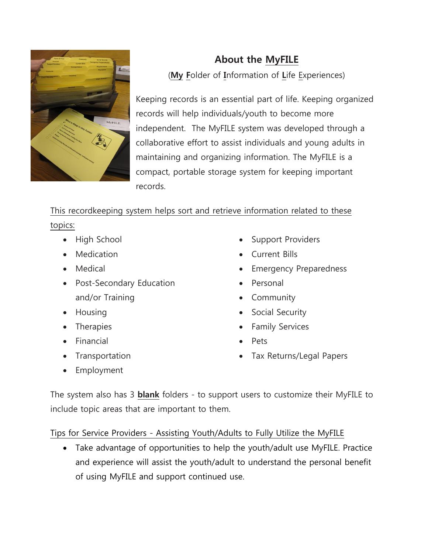

## **About the MyFILE**

(**My F**older of **I**nformation of **L**ife Experiences)

Keeping records is an essential part of life. Keeping organized records will help individuals/youth to become more independent. The MyFILE system was developed through a collaborative effort to assist individuals and young adults in maintaining and organizing information. The MyFILE is a compact, portable storage system for keeping important records.

## This recordkeeping system helps sort and retrieve information related to these

topics:

- High School
- Medication
- Medical
- Post-Secondary Education and/or Training
- Housing
- **Therapies**
- Financial
- **Transportation**
- **Employment**
- Support Providers
- Current Bills
- **Emergency Preparedness**
- Personal
- **Community**
- Social Security
- Family Services
- Pets
- Tax Returns/Legal Papers

The system also has 3 **blank** folders - to support users to customize their MyFILE to include topic areas that are important to them.

Tips for Service Providers - Assisting Youth/Adults to Fully Utilize the MyFILE

• Take advantage of opportunities to help the youth/adult use MyFILE. Practice and experience will assist the youth/adult to understand the personal benefit of using MyFILE and support continued use.